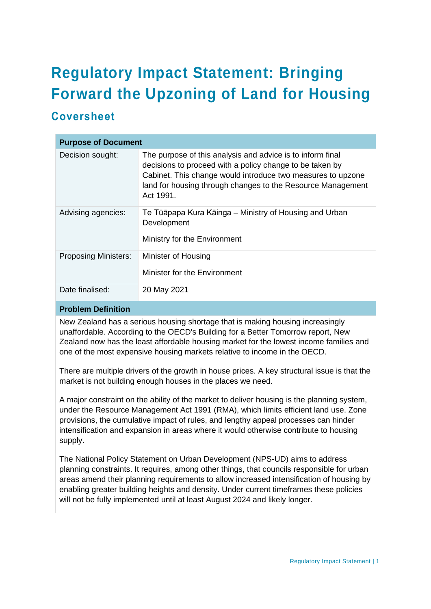# **Regulatory Impact Statement: Bringing Forward the Upzoning of Land for Housing**

# **Coversheet**

| <b>Purpose of Document</b>  |                                                                                                                                                                                                                                                                   |
|-----------------------------|-------------------------------------------------------------------------------------------------------------------------------------------------------------------------------------------------------------------------------------------------------------------|
| Decision sought:            | The purpose of this analysis and advice is to inform final<br>decisions to proceed with a policy change to be taken by<br>Cabinet. This change would introduce two measures to upzone<br>land for housing through changes to the Resource Management<br>Act 1991. |
| Advising agencies:          | Te Tūāpapa Kura Kāinga – Ministry of Housing and Urban<br>Development<br>Ministry for the Environment                                                                                                                                                             |
| <b>Proposing Ministers:</b> | Minister of Housing<br>Minister for the Environment                                                                                                                                                                                                               |
| Date finalised:             | 20 May 2021                                                                                                                                                                                                                                                       |

# **Problem Definition**

New Zealand has a serious housing shortage that is making housing increasingly unaffordable. According to the OECD's Building for a Better Tomorrow report, New Zealand now has the least affordable housing market for the lowest income families and one of the most expensive housing markets relative to income in the OECD.

There are multiple drivers of the growth in house prices. A key structural issue is that the market is not building enough houses in the places we need.

A major constraint on the ability of the market to deliver housing is the planning system, under the Resource Management Act 1991 (RMA), which limits efficient land use. Zone provisions, the cumulative impact of rules, and lengthy appeal processes can hinder intensification and expansion in areas where it would otherwise contribute to housing supply.

The National Policy Statement on Urban Development (NPS-UD) aims to address planning constraints. It requires, among other things, that councils responsible for urban areas amend their planning requirements to allow increased intensification of housing by enabling greater building heights and density. Under current timeframes these policies will not be fully implemented until at least August 2024 and likely longer.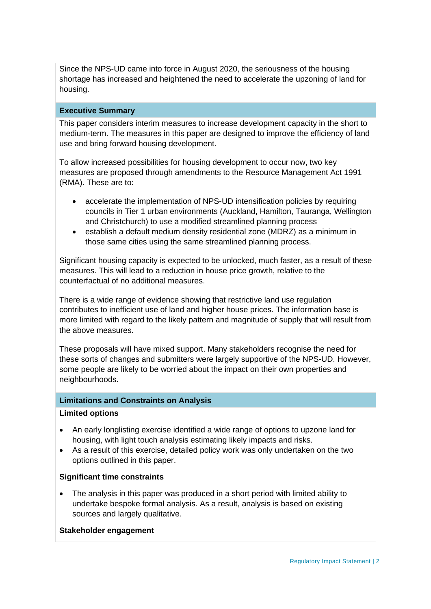Since the NPS-UD came into force in August 2020, the seriousness of the housing shortage has increased and heightened the need to accelerate the upzoning of land for housing.

#### **Executive Summary**

This paper considers interim measures to increase development capacity in the short to medium-term. The measures in this paper are designed to improve the efficiency of land use and bring forward housing development.

To allow increased possibilities for housing development to occur now, two key measures are proposed through amendments to the Resource Management Act 1991 (RMA). These are to:

- accelerate the implementation of NPS-UD intensification policies by requiring councils in Tier 1 urban environments (Auckland, Hamilton, Tauranga, Wellington and Christchurch) to use a modified streamlined planning process
- establish a default medium density residential zone (MDRZ) as a minimum in those same cities using the same streamlined planning process.

Significant housing capacity is expected to be unlocked, much faster, as a result of these measures. This will lead to a reduction in house price growth, relative to the counterfactual of no additional measures.

There is a wide range of evidence showing that restrictive land use regulation contributes to inefficient use of land and higher house prices. The information base is more limited with regard to the likely pattern and magnitude of supply that will result from the above measures.

These proposals will have mixed support. Many stakeholders recognise the need for these sorts of changes and submitters were largely supportive of the NPS-UD. However, some people are likely to be worried about the impact on their own properties and neighbourhoods.

#### **Limitations and Constraints on Analysis**

#### **Limited options**

- An early longlisting exercise identified a wide range of options to upzone land for housing, with light touch analysis estimating likely impacts and risks.
- As a result of this exercise, detailed policy work was only undertaken on the two options outlined in this paper.

#### **Significant time constraints**

• The analysis in this paper was produced in a short period with limited ability to undertake bespoke formal analysis. As a result, analysis is based on existing sources and largely qualitative.

#### **Stakeholder engagement**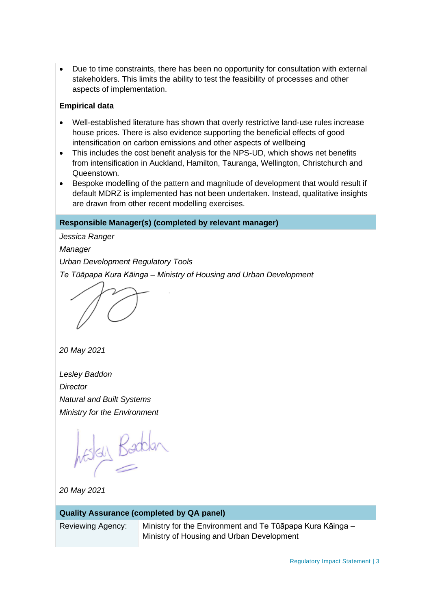• Due to time constraints, there has been no opportunity for consultation with external stakeholders. This limits the ability to test the feasibility of processes and other aspects of implementation.

#### **Empirical data**

- Well-established literature has shown that overly restrictive land-use rules increase house prices. There is also evidence supporting the beneficial effects of good intensification on carbon emissions and other aspects of wellbeing
- This includes the cost benefit analysis for the NPS-UD, which shows net benefits from intensification in Auckland, Hamilton, Tauranga, Wellington, Christchurch and Queenstown.
- Bespoke modelling of the pattern and magnitude of development that would result if default MDRZ is implemented has not been undertaken. Instead, qualitative insights are drawn from other recent modelling exercises.

# **Responsible Manager(s) (completed by relevant manager)**

*Jessica Ranger Manager Urban Development Regulatory Tools Te Tūāpapa Kura Kāinga – Ministry of Housing and Urban Development*

*20 May 2021*

*Lesley Baddon Director Natural and Built Systems Ministry for the Environment*

Estal Baddan

*20 May 2021*

| <b>Quality Assurance (completed by QA panel)</b> |                                                                                                        |  |  |
|--------------------------------------------------|--------------------------------------------------------------------------------------------------------|--|--|
| <b>Reviewing Agency:</b>                         | Ministry for the Environment and Te Tūāpapa Kura Kāinga –<br>Ministry of Housing and Urban Development |  |  |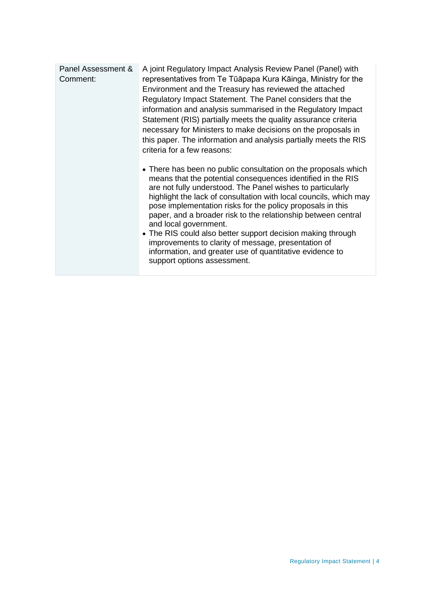| Panel Assessment &<br>Comment: | A joint Regulatory Impact Analysis Review Panel (Panel) with<br>representatives from Te Tūāpapa Kura Kāinga, Ministry for the<br>Environment and the Treasury has reviewed the attached<br>Regulatory Impact Statement. The Panel considers that the<br>information and analysis summarised in the Regulatory Impact<br>Statement (RIS) partially meets the quality assurance criteria<br>necessary for Ministers to make decisions on the proposals in<br>this paper. The information and analysis partially meets the RIS<br>criteria for a few reasons:                                                                                |
|--------------------------------|-------------------------------------------------------------------------------------------------------------------------------------------------------------------------------------------------------------------------------------------------------------------------------------------------------------------------------------------------------------------------------------------------------------------------------------------------------------------------------------------------------------------------------------------------------------------------------------------------------------------------------------------|
|                                | • There has been no public consultation on the proposals which<br>means that the potential consequences identified in the RIS<br>are not fully understood. The Panel wishes to particularly<br>highlight the lack of consultation with local councils, which may<br>pose implementation risks for the policy proposals in this<br>paper, and a broader risk to the relationship between central<br>and local government.<br>• The RIS could also better support decision making through<br>improvements to clarity of message, presentation of<br>information, and greater use of quantitative evidence to<br>support options assessment. |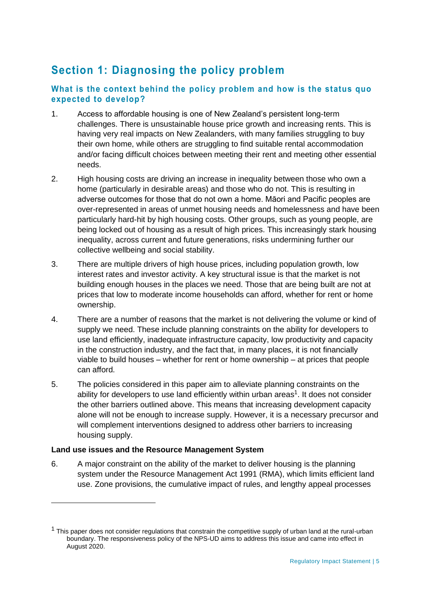# **Section 1: Diagnosing the policy problem**

# **What is the context behind the policy problem and how is the status quo expected to develop?**

- 1. Access to affordable housing is one of New Zealand's persistent long-term challenges. There is unsustainable house price growth and increasing rents. This is having very real impacts on New Zealanders, with many families struggling to buy their own home, while others are struggling to find suitable rental accommodation and/or facing difficult choices between meeting their rent and meeting other essential needs.
- 2. High housing costs are driving an increase in inequality between those who own a home (particularly in desirable areas) and those who do not. This is resulting in adverse outcomes for those that do not own a home. Māori and Pacific peoples are over-represented in areas of unmet housing needs and homelessness and have been particularly hard-hit by high housing costs. Other groups, such as young people, are being locked out of housing as a result of high prices. This increasingly stark housing inequality, across current and future generations, risks undermining further our collective wellbeing and social stability.
- 3. There are multiple drivers of high house prices, including population growth, low interest rates and investor activity. A key structural issue is that the market is not building enough houses in the places we need. Those that are being built are not at prices that low to moderate income households can afford, whether for rent or home ownership.
- 4. There are a number of reasons that the market is not delivering the volume or kind of supply we need. These include planning constraints on the ability for developers to use land efficiently, inadequate infrastructure capacity, low productivity and capacity in the construction industry, and the fact that, in many places, it is not financially viable to build houses – whether for rent or home ownership – at prices that people can afford.
- 5. The policies considered in this paper aim to alleviate planning constraints on the ability for developers to use land efficiently within urban areas<sup>1</sup>. It does not consider the other barriers outlined above. This means that increasing development capacity alone will not be enough to increase supply. However, it is a necessary precursor and will complement interventions designed to address other barriers to increasing housing supply.

# **Land use issues and the Resource Management System**

6. A major constraint on the ability of the market to deliver housing is the planning system under the Resource Management Act 1991 (RMA), which limits efficient land use. Zone provisions, the cumulative impact of rules, and lengthy appeal processes

 $1$  This paper does not consider regulations that constrain the competitive supply of urban land at the rural-urban boundary. The responsiveness policy of the NPS-UD aims to address this issue and came into effect in August 2020.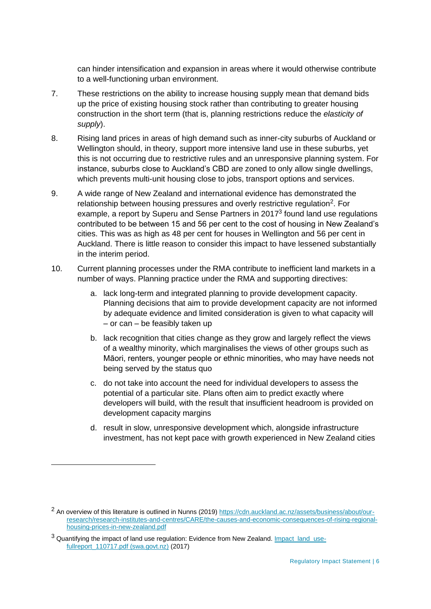can hinder intensification and expansion in areas where it would otherwise contribute to a well-functioning urban environment.

- 7. These restrictions on the ability to increase housing supply mean that demand bids up the price of existing housing stock rather than contributing to greater housing construction in the short term (that is, planning restrictions reduce the *elasticity of supply*).
- 8. Rising land prices in areas of high demand such as inner-city suburbs of Auckland or Wellington should, in theory, support more intensive land use in these suburbs, yet this is not occurring due to restrictive rules and an unresponsive planning system. For instance, suburbs close to Auckland's CBD are zoned to only allow single dwellings, which prevents multi-unit housing close to jobs, transport options and services.
- 9. A wide range of New Zealand and international evidence has demonstrated the relationship between housing pressures and overly restrictive regulation<sup>2</sup>. For example, a report by Superu and Sense Partners in 2017<sup>3</sup> found land use regulations contributed to be between 15 and 56 per cent to the cost of housing in New Zealand's cities. This was as high as 48 per cent for houses in Wellington and 56 per cent in Auckland. There is little reason to consider this impact to have lessened substantially in the interim period.
- 10. Current planning processes under the RMA contribute to inefficient land markets in a number of ways. Planning practice under the RMA and supporting directives:
	- a. lack long-term and integrated planning to provide development capacity. Planning decisions that aim to provide development capacity are not informed by adequate evidence and limited consideration is given to what capacity will – or can – be feasibly taken up
	- b. lack recognition that cities change as they grow and largely reflect the views of a wealthy minority, which marginalises the views of other groups such as Māori, renters, younger people or ethnic minorities, who may have needs not being served by the status quo
	- c. do not take into account the need for individual developers to assess the potential of a particular site. Plans often aim to predict exactly where developers will build, with the result that insufficient headroom is provided on development capacity margins
	- d. result in slow, unresponsive development which, alongside infrastructure investment, has not kept pace with growth experienced in New Zealand cities

<sup>&</sup>lt;sup>2</sup> An overview of this literature is outlined in Nunns (2019) [https://cdn.auckland.ac.nz/assets/business/about/our](https://cdn.auckland.ac.nz/assets/business/about/our-research/research-institutes-and-centres/CARE/the-causes-and-economic-consequences-of-rising-regional-housing-prices-in-new-zealand.pdf)[research/research-institutes-and-centres/CARE/the-causes-and-economic-consequences-of-rising-regional](https://cdn.auckland.ac.nz/assets/business/about/our-research/research-institutes-and-centres/CARE/the-causes-and-economic-consequences-of-rising-regional-housing-prices-in-new-zealand.pdf)[housing-prices-in-new-zealand.pdf](https://cdn.auckland.ac.nz/assets/business/about/our-research/research-institutes-and-centres/CARE/the-causes-and-economic-consequences-of-rising-regional-housing-prices-in-new-zealand.pdf) 

 $3$  Quantifying the impact of land use regulation: Evidence from New Zealand. Impact land use[fullreport\\_110717.pdf \(swa.govt.nz\)](https://thehub.swa.govt.nz/assets/documents/Impact_land_use-fullreport_110717.pdf) (2017)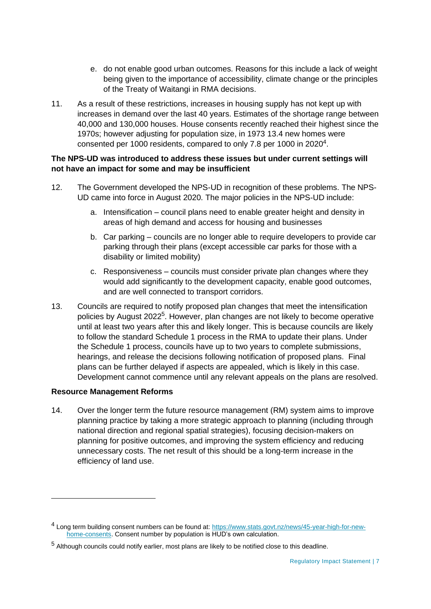- e. do not enable good urban outcomes. Reasons for this include a lack of weight being given to the importance of accessibility, climate change or the principles of the Treaty of Waitangi in RMA decisions.
- 11. As a result of these restrictions, increases in housing supply has not kept up with increases in demand over the last 40 years. Estimates of the shortage range between 40,000 and 130,000 houses. House consents recently reached their highest since the 1970s; however adjusting for population size, in 1973 13.4 new homes were consented per 1000 residents, compared to only 7.8 per 1000 in 2020 $4$ .

## **The NPS-UD was introduced to address these issues but under current settings will not have an impact for some and may be insufficient**

- 12. The Government developed the NPS-UD in recognition of these problems. The NPS-UD came into force in August 2020. The major policies in the NPS-UD include:
	- a. Intensification council plans need to enable greater height and density in areas of high demand and access for housing and businesses
	- b. Car parking councils are no longer able to require developers to provide car parking through their plans (except accessible car parks for those with a disability or limited mobility)
	- c. Responsiveness councils must consider private plan changes where they would add significantly to the development capacity, enable good outcomes, and are well connected to transport corridors.
- 13. Councils are required to notify proposed plan changes that meet the intensification policies by August 2022<sup>5</sup>. However, plan changes are not likely to become operative until at least two years after this and likely longer. This is because councils are likely to follow the standard Schedule 1 process in the RMA to update their plans. Under the Schedule 1 process, councils have up to two years to complete submissions, hearings, and release the decisions following notification of proposed plans. Final plans can be further delayed if aspects are appealed, which is likely in this case. Development cannot commence until any relevant appeals on the plans are resolved.

#### **Resource Management Reforms**

14. Over the longer term the future resource management (RM) system aims to improve planning practice by taking a more strategic approach to planning (including through national direction and regional spatial strategies), focusing decision-makers on planning for positive outcomes, and improving the system efficiency and reducing unnecessary costs. The net result of this should be a long-term increase in the efficiency of land use.

<sup>&</sup>lt;sup>4</sup> Long term building consent numbers can be found at: [https://www.stats.govt.nz/news/45-year-high-for-new](https://www.stats.govt.nz/news/45-year-high-for-new-home-consents)[home-consents.](https://www.stats.govt.nz/news/45-year-high-for-new-home-consents) Consent number by population is HUD's own calculation.

<sup>5</sup> Although councils could notify earlier, most plans are likely to be notified close to this deadline.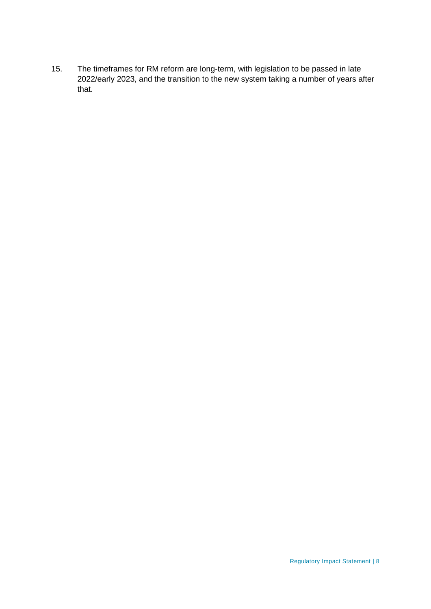15. The timeframes for RM reform are long-term, with legislation to be passed in late 2022/early 2023, and the transition to the new system taking a number of years after that.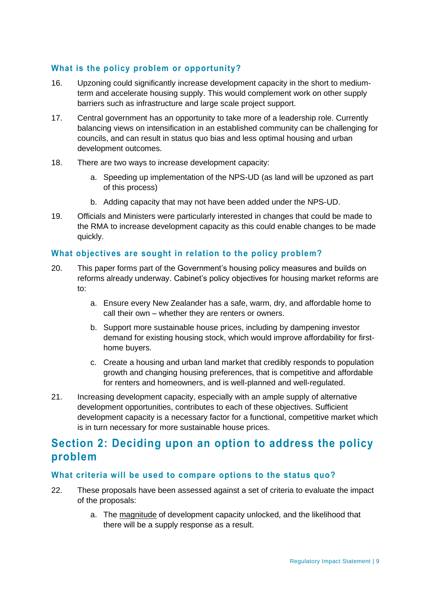# **What is the policy problem or opportunity?**

- 16. Upzoning could significantly increase development capacity in the short to mediumterm and accelerate housing supply. This would complement work on other supply barriers such as infrastructure and large scale project support.
- 17. Central government has an opportunity to take more of a leadership role. Currently balancing views on intensification in an established community can be challenging for councils, and can result in status quo bias and less optimal housing and urban development outcomes.
- 18. There are two ways to increase development capacity:
	- a. Speeding up implementation of the NPS-UD (as land will be upzoned as part of this process)
	- b. Adding capacity that may not have been added under the NPS-UD.
- 19. Officials and Ministers were particularly interested in changes that could be made to the RMA to increase development capacity as this could enable changes to be made quickly.

# **What objectives are sought in relation to the policy problem?**

- 20. This paper forms part of the Government's housing policy measures and builds on reforms already underway. Cabinet's policy objectives for housing market reforms are to:
	- a. Ensure every New Zealander has a safe, warm, dry, and affordable home to call their own – whether they are renters or owners.
	- b. Support more sustainable house prices, including by dampening investor demand for existing housing stock, which would improve affordability for firsthome buyers.
	- c. Create a housing and urban land market that credibly responds to population growth and changing housing preferences, that is competitive and affordable for renters and homeowners, and is well-planned and well-regulated.
- 21. Increasing development capacity, especially with an ample supply of alternative development opportunities, contributes to each of these objectives. Sufficient development capacity is a necessary factor for a functional, competitive market which is in turn necessary for more sustainable house prices.

# **Section 2: Deciding upon an option to address the policy problem**

# **What criteria will be used to compare options to the status quo?**

- 22. These proposals have been assessed against a set of criteria to evaluate the impact of the proposals:
	- a. The magnitude of development capacity unlocked, and the likelihood that there will be a supply response as a result.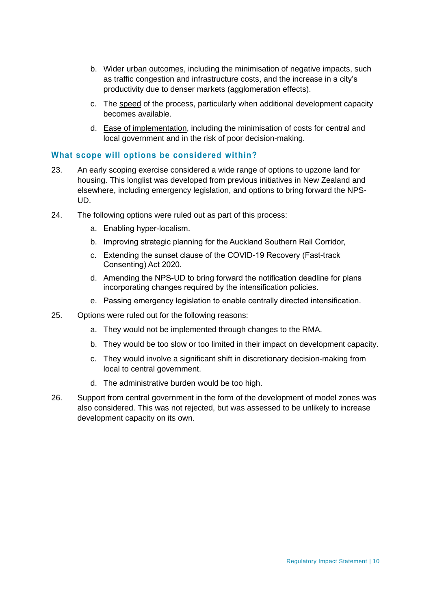- b. Wider urban outcomes, including the minimisation of negative impacts, such as traffic congestion and infrastructure costs, and the increase in a city's productivity due to denser markets (agglomeration effects).
- c. The speed of the process, particularly when additional development capacity becomes available.
- d. Ease of implementation, including the minimisation of costs for central and local government and in the risk of poor decision-making.

## **What scope will options be considered within?**

- 23. An early scoping exercise considered a wide range of options to upzone land for housing. This longlist was developed from previous initiatives in New Zealand and elsewhere, including emergency legislation, and options to bring forward the NPS-UD.
- 24. The following options were ruled out as part of this process:
	- a. Enabling hyper-localism.
	- b. Improving strategic planning for the Auckland Southern Rail Corridor,
	- c. Extending the sunset clause of the COVID-19 Recovery (Fast-track Consenting) Act 2020.
	- d. Amending the NPS-UD to bring forward the notification deadline for plans incorporating changes required by the intensification policies.
	- e. Passing emergency legislation to enable centrally directed intensification.
- 25. Options were ruled out for the following reasons:
	- a. They would not be implemented through changes to the RMA.
	- b. They would be too slow or too limited in their impact on development capacity.
	- c. They would involve a significant shift in discretionary decision-making from local to central government.
	- d. The administrative burden would be too high.
- 26. Support from central government in the form of the development of model zones was also considered. This was not rejected, but was assessed to be unlikely to increase development capacity on its own.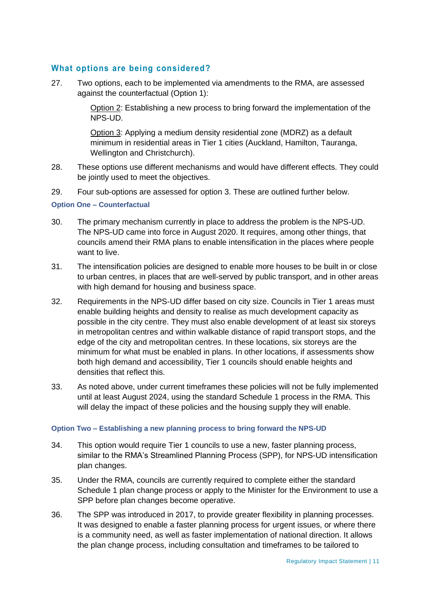# **What options are being considered?**

27. Two options, each to be implemented via amendments to the RMA, are assessed against the counterfactual (Option 1):

> Option 2: Establishing a new process to bring forward the implementation of the NPS-UD.

Option 3: Applying a medium density residential zone (MDRZ) as a default minimum in residential areas in Tier 1 cities (Auckland, Hamilton, Tauranga, Wellington and Christchurch).

- 28. These options use different mechanisms and would have different effects. They could be jointly used to meet the objectives.
- 29. Four sub-options are assessed for option 3. These are outlined further below.

**Option One – Counterfactual**

- 30. The primary mechanism currently in place to address the problem is the NPS-UD. The NPS-UD came into force in August 2020. It requires, among other things, that councils amend their RMA plans to enable intensification in the places where people want to live.
- 31. The intensification policies are designed to enable more houses to be built in or close to urban centres, in places that are well-served by public transport, and in other areas with high demand for housing and business space.
- 32. Requirements in the NPS-UD differ based on city size. Councils in Tier 1 areas must enable building heights and density to realise as much development capacity as possible in the city centre. They must also enable development of at least six storeys in metropolitan centres and within walkable distance of rapid transport stops, and the edge of the city and metropolitan centres. In these locations, six storeys are the minimum for what must be enabled in plans. In other locations, if assessments show both high demand and accessibility, Tier 1 councils should enable heights and densities that reflect this.
- 33. As noted above, under current timeframes these policies will not be fully implemented until at least August 2024, using the standard Schedule 1 process in the RMA. This will delay the impact of these policies and the housing supply they will enable.

#### **Option Two – Establishing a new planning process to bring forward the NPS-UD**

- 34. This option would require Tier 1 councils to use a new, faster planning process, similar to the RMA's Streamlined Planning Process (SPP), for NPS-UD intensification plan changes.
- 35. Under the RMA, councils are currently required to complete either the standard Schedule 1 plan change process or apply to the Minister for the Environment to use a SPP before plan changes become operative.
- 36. The SPP was introduced in 2017, to provide greater flexibility in planning processes. It was designed to enable a faster planning process for urgent issues, or where there is a community need, as well as faster implementation of national direction. It allows the plan change process, including consultation and timeframes to be tailored to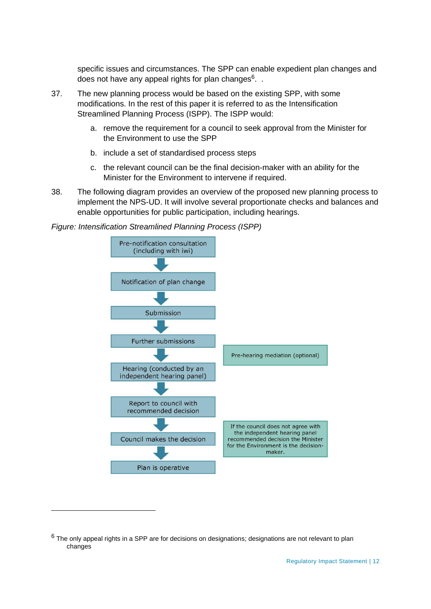specific issues and circumstances. The SPP can enable expedient plan changes and does not have any appeal rights for plan changes<sup>6</sup>. .

- 37. The new planning process would be based on the existing SPP, with some modifications. In the rest of this paper it is referred to as the Intensification Streamlined Planning Process (ISPP). The ISPP would:
	- a. remove the requirement for a council to seek approval from the Minister for the Environment to use the SPP
	- b. include a set of standardised process steps
	- c. the relevant council can be the final decision-maker with an ability for the Minister for the Environment to intervene if required.
- 38. The following diagram provides an overview of the proposed new planning process to implement the NPS-UD. It will involve several proportionate checks and balances and enable opportunities for public participation, including hearings.





 $6$  The only appeal rights in a SPP are for decisions on designations; designations are not relevant to plan changes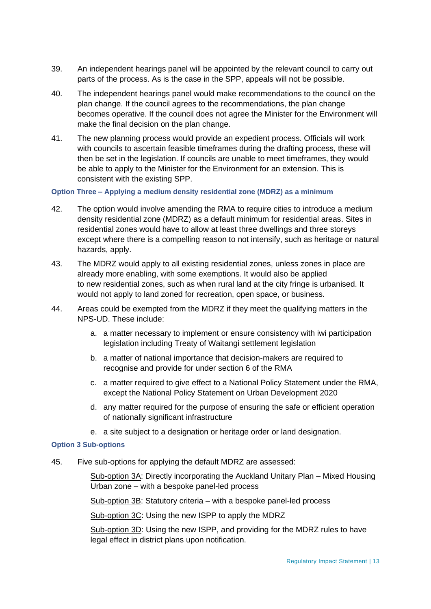- 39. An independent hearings panel will be appointed by the relevant council to carry out parts of the process. As is the case in the SPP, appeals will not be possible.
- 40. The independent hearings panel would make recommendations to the council on the plan change. If the council agrees to the recommendations, the plan change becomes operative. If the council does not agree the Minister for the Environment will make the final decision on the plan change.
- 41. The new planning process would provide an expedient process. Officials will work with councils to ascertain feasible timeframes during the drafting process, these will then be set in the legislation. If councils are unable to meet timeframes, they would be able to apply to the Minister for the Environment for an extension. This is consistent with the existing SPP.

#### **Option Three – Applying a medium density residential zone (MDRZ) as a minimum**

- 42. The option would involve amending the RMA to require cities to introduce a medium density residential zone (MDRZ) as a default minimum for residential areas. Sites in residential zones would have to allow at least three dwellings and three storeys except where there is a compelling reason to not intensify, such as heritage or natural hazards, apply.
- 43. The MDRZ would apply to all existing residential zones, unless zones in place are already more enabling, with some exemptions. It would also be applied to new residential zones, such as when rural land at the city fringe is urbanised. It would not apply to land zoned for recreation, open space, or business.
- 44. Areas could be exempted from the MDRZ if they meet the qualifying matters in the NPS-UD. These include:
	- a. a matter necessary to implement or ensure consistency with iwi participation legislation including Treaty of Waitangi settlement legislation
	- b. a matter of national importance that decision-makers are required to recognise and provide for under section 6 of the RMA
	- c. a matter required to give effect to a National Policy Statement under the RMA, except the National Policy Statement on Urban Development 2020
	- d. any matter required for the purpose of ensuring the safe or efficient operation of nationally significant infrastructure
	- e. a site subject to a designation or heritage order or land designation.

#### **Option 3 Sub-options**

45. Five sub-options for applying the default MDRZ are assessed:

Sub-option 3A: Directly incorporating the Auckland Unitary Plan – Mixed Housing Urban zone – with a bespoke panel-led process

Sub-option 3B: Statutory criteria – with a bespoke panel-led process

Sub-option 3C: Using the new ISPP to apply the MDRZ

Sub-option 3D: Using the new ISPP, and providing for the MDRZ rules to have legal effect in district plans upon notification.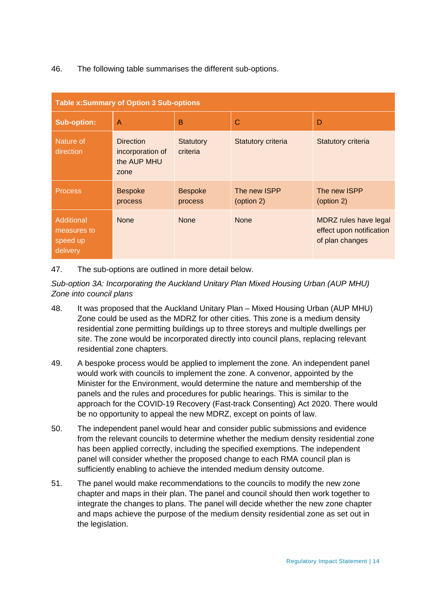46. The following table summarises the different sub-options.

| <b>Table x: Summary of Option 3 Sub-options</b>   |                                                             |                           |                            |                                                                      |
|---------------------------------------------------|-------------------------------------------------------------|---------------------------|----------------------------|----------------------------------------------------------------------|
| <b>Sub-option:</b>                                | A                                                           | B                         | $\mathsf{C}$               | D                                                                    |
| Nature of<br>direction                            | <b>Direction</b><br>incorporation of<br>the AUP MHU<br>zone | Statutory<br>criteria     | <b>Statutory criteria</b>  | Statutory criteria                                                   |
| <b>Process</b>                                    | <b>Bespoke</b><br>process                                   | <b>Bespoke</b><br>process | The new ISPP<br>(option 2) | The new ISPP<br>(option 2)                                           |
| Additional<br>measures to<br>speed up<br>delivery | <b>None</b>                                                 | <b>None</b>               | <b>None</b>                | MDRZ rules have legal<br>effect upon notification<br>of plan changes |

47. The sub-options are outlined in more detail below.

*Sub-option 3A: Incorporating the Auckland Unitary Plan Mixed Housing Urban (AUP MHU) Zone into council plans*

- 48. It was proposed that the Auckland Unitary Plan Mixed Housing Urban (AUP MHU) Zone could be used as the MDRZ for other cities. This zone is a medium density residential zone permitting buildings up to three storeys and multiple dwellings per site. The zone would be incorporated directly into council plans, replacing relevant residential zone chapters.
- 49. A bespoke process would be applied to implement the zone. An independent panel would work with councils to implement the zone. A convenor, appointed by the Minister for the Environment, would determine the nature and membership of the panels and the rules and procedures for public hearings. This is similar to the approach for the COVID-19 Recovery (Fast-track Consenting) Act 2020. There would be no opportunity to appeal the new MDRZ, except on points of law.
- 50. The independent panel would hear and consider public submissions and evidence from the relevant councils to determine whether the medium density residential zone has been applied correctly, including the specified exemptions. The independent panel will consider whether the proposed change to each RMA council plan is sufficiently enabling to achieve the intended medium density outcome.
- 51. The panel would make recommendations to the councils to modify the new zone chapter and maps in their plan. The panel and council should then work together to integrate the changes to plans. The panel will decide whether the new zone chapter and maps achieve the purpose of the medium density residential zone as set out in the legislation.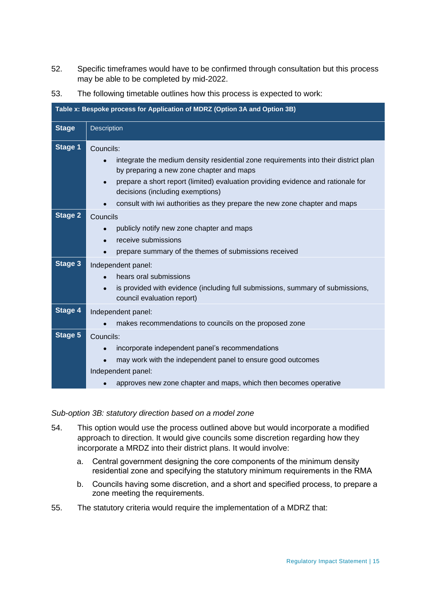52. Specific timeframes would have to be confirmed through consultation but this process may be able to be completed by mid-2022.

| 53. | The following timetable outlines how this process is expected to work: |
|-----|------------------------------------------------------------------------|
|     |                                                                        |

| Table x: Bespoke process for Application of MDRZ (Option 3A and Option 3B) |                                                                                                                                              |  |  |  |
|----------------------------------------------------------------------------|----------------------------------------------------------------------------------------------------------------------------------------------|--|--|--|
| <b>Stage</b>                                                               | Description                                                                                                                                  |  |  |  |
| <b>Stage 1</b>                                                             | Councils:                                                                                                                                    |  |  |  |
|                                                                            | integrate the medium density residential zone requirements into their district plan<br>$\bullet$<br>by preparing a new zone chapter and maps |  |  |  |
|                                                                            | prepare a short report (limited) evaluation providing evidence and rationale for<br>$\bullet$<br>decisions (including exemptions)            |  |  |  |
|                                                                            | consult with iwi authorities as they prepare the new zone chapter and maps                                                                   |  |  |  |
| <b>Stage 2</b>                                                             | Councils                                                                                                                                     |  |  |  |
|                                                                            | publicly notify new zone chapter and maps<br>$\bullet$                                                                                       |  |  |  |
|                                                                            | receive submissions<br>$\bullet$                                                                                                             |  |  |  |
|                                                                            | prepare summary of the themes of submissions received<br>$\bullet$                                                                           |  |  |  |
| <b>Stage 3</b>                                                             | Independent panel:                                                                                                                           |  |  |  |
|                                                                            | hears oral submissions<br>$\bullet$                                                                                                          |  |  |  |
|                                                                            | is provided with evidence (including full submissions, summary of submissions,<br>$\bullet$<br>council evaluation report)                    |  |  |  |
| <b>Stage 4</b>                                                             | Independent panel:                                                                                                                           |  |  |  |
|                                                                            | makes recommendations to councils on the proposed zone                                                                                       |  |  |  |
| Stage 5                                                                    | Councils:                                                                                                                                    |  |  |  |
|                                                                            | incorporate independent panel's recommendations<br>$\bullet$                                                                                 |  |  |  |
|                                                                            | may work with the independent panel to ensure good outcomes<br>$\bullet$                                                                     |  |  |  |
|                                                                            | Independent panel:                                                                                                                           |  |  |  |
|                                                                            | approves new zone chapter and maps, which then becomes operative                                                                             |  |  |  |

#### *Sub-option 3B: statutory direction based on a model zone*

- 54. This option would use the process outlined above but would incorporate a modified approach to direction. It would give councils some discretion regarding how they incorporate a MRDZ into their district plans. It would involve:
	- a. Central government designing the core components of the minimum density residential zone and specifying the statutory minimum requirements in the RMA
	- b. Councils having some discretion, and a short and specified process, to prepare a zone meeting the requirements.
- 55. The statutory criteria would require the implementation of a MDRZ that: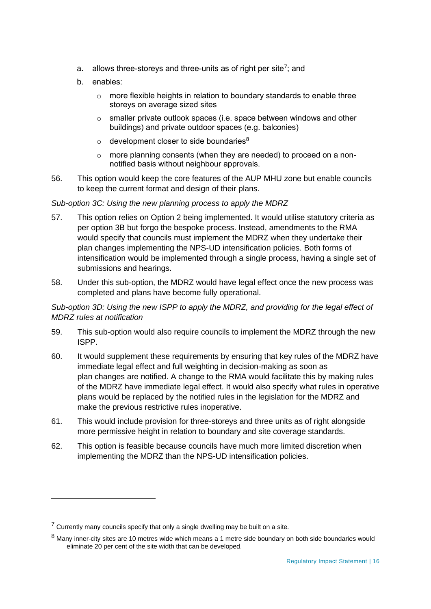- a. allows three-storeys and three-units as of right per site<sup>7</sup>; and
- b. enables:
	- o more flexible heights in relation to boundary standards to enable three storeys on average sized sites
	- o smaller private outlook spaces (i.e. space between windows and other buildings) and private outdoor spaces (e.g. balconies)
	- $\circ$  development closer to side boundaries<sup>8</sup>
	- o more planning consents (when they are needed) to proceed on a nonnotified basis without neighbour approvals.
- 56. This option would keep the core features of the AUP MHU zone but enable councils to keep the current format and design of their plans.

## *Sub-option 3C: Using the new planning process to apply the MDRZ*

- 57. This option relies on Option 2 being implemented. It would utilise statutory criteria as per option 3B but forgo the bespoke process. Instead, amendments to the RMA would specify that councils must implement the MDRZ when they undertake their plan changes implementing the NPS-UD intensification policies. Both forms of intensification would be implemented through a single process, having a single set of submissions and hearings.
- 58. Under this sub-option, the MDRZ would have legal effect once the new process was completed and plans have become fully operational.

# *Sub-option 3D: Using the new ISPP to apply the MDRZ, and providing for the legal effect of MDRZ rules at notification*

- 59. This sub-option would also require councils to implement the MDRZ through the new ISPP.
- 60. It would supplement these requirements by ensuring that key rules of the MDRZ have immediate legal effect and full weighting in decision-making as soon as plan changes are notified. A change to the RMA would facilitate this by making rules of the MDRZ have immediate legal effect. It would also specify what rules in operative plans would be replaced by the notified rules in the legislation for the MDRZ and make the previous restrictive rules inoperative.
- 61. This would include provision for three-storeys and three units as of right alongside more permissive height in relation to boundary and site coverage standards.
- 62. This option is feasible because councils have much more limited discretion when implementing the MDRZ than the NPS-UD intensification policies.

 $7$  Currently many councils specify that only a single dwelling may be built on a site.

<sup>&</sup>lt;sup>8</sup> Many inner-city sites are 10 metres wide which means a 1 metre side boundary on both side boundaries would eliminate 20 per cent of the site width that can be developed.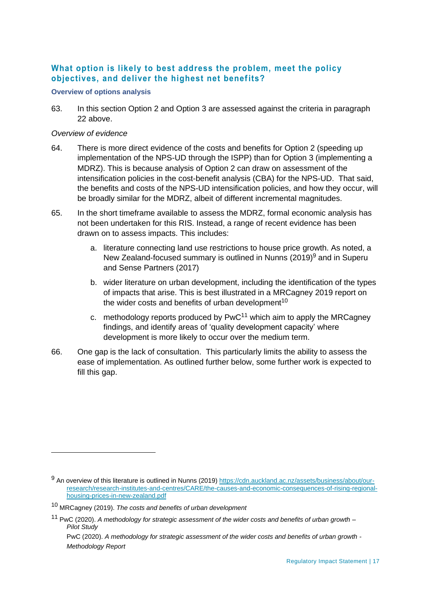# **What option is likely to best address the problem, meet the policy objectives, and deliver the highest net benefits?**

#### **Overview of options analysis**

63. In this section Option 2 and Option 3 are assessed against the criteria in paragraph 22 above.

#### *Overview of evidence*

- 64. There is more direct evidence of the costs and benefits for Option 2 (speeding up implementation of the NPS-UD through the ISPP) than for Option 3 (implementing a MDRZ). This is because analysis of Option 2 can draw on assessment of the intensification policies in the cost-benefit analysis (CBA) for the NPS-UD. That said, the benefits and costs of the NPS-UD intensification policies, and how they occur, will be broadly similar for the MDRZ, albeit of different incremental magnitudes.
- 65. In the short timeframe available to assess the MDRZ, formal economic analysis has not been undertaken for this RIS. Instead, a range of recent evidence has been drawn on to assess impacts. This includes:
	- a. literature connecting land use restrictions to house price growth. As noted, a New Zealand-focused summary is outlined in Nunns (2019)<sup>9</sup> and in Superu and Sense Partners (2017)
	- b. wider literature on urban development, including the identification of the types of impacts that arise. This is best illustrated in a MRCagney 2019 report on the wider costs and benefits of urban development<sup>10</sup>
	- c. methodology reports produced by  $PWC^{11}$  which aim to apply the MRCagney findings, and identify areas of 'quality development capacity' where development is more likely to occur over the medium term.
- 66. One gap is the lack of consultation. This particularly limits the ability to assess the ease of implementation. As outlined further below, some further work is expected to fill this gap.

PwC (2020). *A methodology for strategic assessment of the wider costs and benefits of urban growth - Methodology Report*

<sup>9</sup> An overview of this literature is outlined in Nunns (2019) [https://cdn.auckland.ac.nz/assets/business/about/our](https://cdn.auckland.ac.nz/assets/business/about/our-research/research-institutes-and-centres/CARE/the-causes-and-economic-consequences-of-rising-regional-housing-prices-in-new-zealand.pdf)[research/research-institutes-and-centres/CARE/the-causes-and-economic-consequences-of-rising-regional](https://cdn.auckland.ac.nz/assets/business/about/our-research/research-institutes-and-centres/CARE/the-causes-and-economic-consequences-of-rising-regional-housing-prices-in-new-zealand.pdf)[housing-prices-in-new-zealand.pdf](https://cdn.auckland.ac.nz/assets/business/about/our-research/research-institutes-and-centres/CARE/the-causes-and-economic-consequences-of-rising-regional-housing-prices-in-new-zealand.pdf) 

<sup>10</sup> MRCagney (2019). *The costs and benefits of urban development*

<sup>11</sup> PwC (2020). *A methodology for strategic assessment of the wider costs and benefits of urban growth – Pilot Study*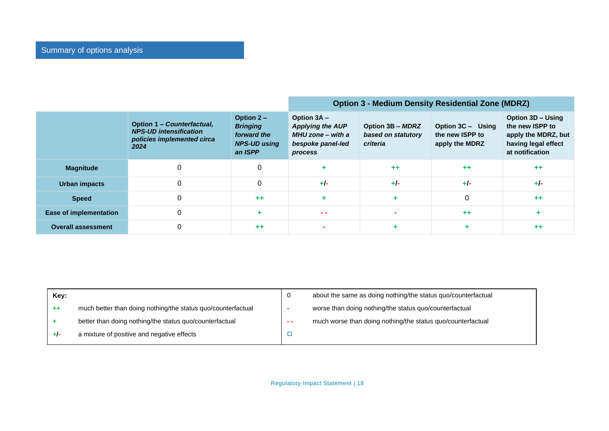|                           |                                                                                                   |                                                                                  | <b>Option 3 - Medium Density Residential Zone (MDRZ)</b>                                    |                                                    |                                                        |                                                                                                       |
|---------------------------|---------------------------------------------------------------------------------------------------|----------------------------------------------------------------------------------|---------------------------------------------------------------------------------------------|----------------------------------------------------|--------------------------------------------------------|-------------------------------------------------------------------------------------------------------|
|                           | Option 1 - Counterfactual,<br><b>NPS-UD intensification</b><br>policies implemented circa<br>2024 | Option $2 -$<br><b>Bringing</b><br>forward the<br><b>NPS-UD using</b><br>an ISPP | Option 3A -<br><b>Applying the AUP</b><br>MHU zone - with a<br>bespoke panel-led<br>process | Option 3B - MDRZ<br>based on statutory<br>criteria | Option 3C - Using<br>the new ISPP to<br>apply the MDRZ | Option 3D - Using<br>the new ISPP to<br>apply the MDRZ, but<br>having legal effect<br>at notification |
| <b>Magnitude</b>          |                                                                                                   | 0                                                                                |                                                                                             | $++$                                               | $++$                                                   | $+ +$                                                                                                 |
| Urban impacts             |                                                                                                   | $\Omega$                                                                         | $+/-$                                                                                       | $+/-$                                              | $+/-$                                                  | $+/-$                                                                                                 |
| <b>Speed</b>              |                                                                                                   | $++$                                                                             |                                                                                             |                                                    | $\Omega$                                               | $++$                                                                                                  |
| Ease of implementation    |                                                                                                   |                                                                                  | $\sim$ $\sim$                                                                               |                                                    | $++$                                                   |                                                                                                       |
| <b>Overall assessment</b> |                                                                                                   | $++$                                                                             |                                                                                             |                                                    |                                                        | $++$                                                                                                  |

| Key: |                                                              |    | about the same as doing nothing/the status quo/counterfactual |
|------|--------------------------------------------------------------|----|---------------------------------------------------------------|
| ++   | much better than doing nothing/the status quo/counterfactual |    | worse than doing nothing/the status quo/counterfactual        |
|      | better than doing nothing/the status quo/counterfactual      | -- | much worse than doing nothing/the status quo/counterfactual   |
| +ŀ   | a mixture of positive and negative effects                   |    |                                                               |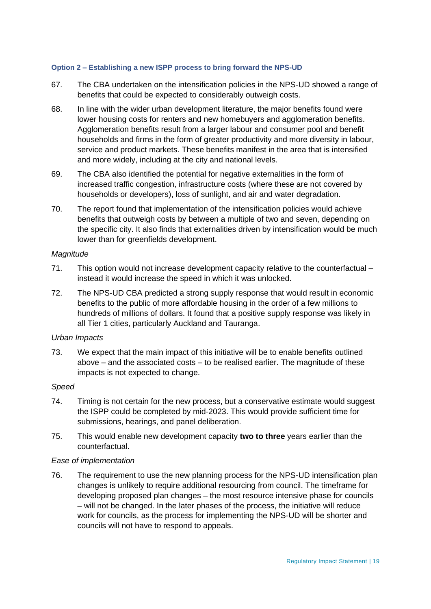#### **Option 2 – Establishing a new ISPP process to bring forward the NPS-UD**

- 67. The CBA undertaken on the intensification policies in the NPS-UD showed a range of benefits that could be expected to considerably outweigh costs.
- 68. In line with the wider urban development literature, the major benefits found were lower housing costs for renters and new homebuyers and agglomeration benefits. Agglomeration benefits result from a larger labour and consumer pool and benefit households and firms in the form of greater productivity and more diversity in labour, service and product markets. These benefits manifest in the area that is intensified and more widely, including at the city and national levels.
- 69. The CBA also identified the potential for negative externalities in the form of increased traffic congestion, infrastructure costs (where these are not covered by households or developers), loss of sunlight, and air and water degradation.
- 70. The report found that implementation of the intensification policies would achieve benefits that outweigh costs by between a multiple of two and seven, depending on the specific city. It also finds that externalities driven by intensification would be much lower than for greenfields development.

#### *Magnitude*

- 71. This option would not increase development capacity relative to the counterfactual instead it would increase the speed in which it was unlocked.
- 72. The NPS-UD CBA predicted a strong supply response that would result in economic benefits to the public of more affordable housing in the order of a few millions to hundreds of millions of dollars. It found that a positive supply response was likely in all Tier 1 cities, particularly Auckland and Tauranga.

#### *Urban Impacts*

73. We expect that the main impact of this initiative will be to enable benefits outlined above – and the associated costs – to be realised earlier. The magnitude of these impacts is not expected to change.

#### *Speed*

- 74. Timing is not certain for the new process, but a conservative estimate would suggest the ISPP could be completed by mid-2023. This would provide sufficient time for submissions, hearings, and panel deliberation.
- 75. This would enable new development capacity **two to three** years earlier than the counterfactual.

#### *Ease of implementation*

76. The requirement to use the new planning process for the NPS-UD intensification plan changes is unlikely to require additional resourcing from council. The timeframe for developing proposed plan changes – the most resource intensive phase for councils – will not be changed. In the later phases of the process, the initiative will reduce work for councils, as the process for implementing the NPS-UD will be shorter and councils will not have to respond to appeals.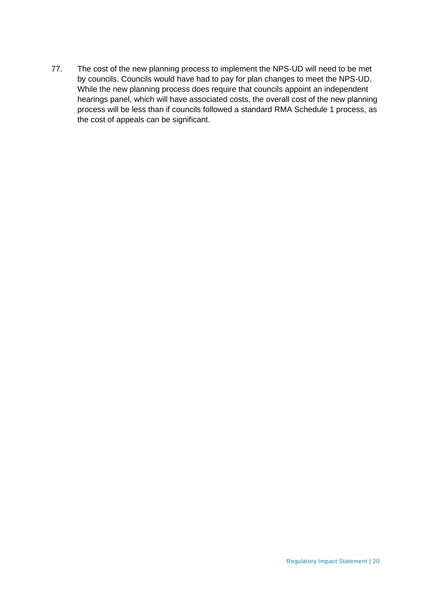77. The cost of the new planning process to implement the NPS-UD will need to be met by councils. Councils would have had to pay for plan changes to meet the NPS-UD. While the new planning process does require that councils appoint an independent hearings panel, which will have associated costs, the overall cost of the new planning process will be less than if councils followed a standard RMA Schedule 1 process, as the cost of appeals can be significant.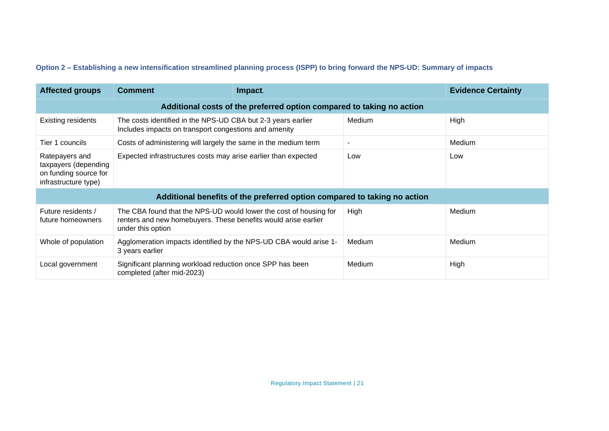# **Option 2 – Establishing a new intensification streamlined planning process (ISPP) to bring forward the NPS-UD: Summary of impacts**

| <b>Affected groups</b>                                                                  | <b>Comment</b>                                                                                                                                           | Impact.                                                                  |                          | <b>Evidence Certainty</b> |  |  |
|-----------------------------------------------------------------------------------------|----------------------------------------------------------------------------------------------------------------------------------------------------------|--------------------------------------------------------------------------|--------------------------|---------------------------|--|--|
|                                                                                         | Additional costs of the preferred option compared to taking no action                                                                                    |                                                                          |                          |                           |  |  |
| <b>Existing residents</b>                                                               | The costs identified in the NPS-UD CBA but 2-3 years earlier<br>Includes impacts on transport congestions and amenity                                    |                                                                          | Medium                   | High                      |  |  |
| Tier 1 councils                                                                         | Costs of administering will largely the same in the medium term                                                                                          |                                                                          | $\overline{\phantom{0}}$ | Medium                    |  |  |
| Ratepayers and<br>taxpayers (depending<br>on funding source for<br>infrastructure type) | Expected infrastructures costs may arise earlier than expected                                                                                           |                                                                          | Low                      | Low                       |  |  |
|                                                                                         |                                                                                                                                                          | Additional benefits of the preferred option compared to taking no action |                          |                           |  |  |
| Future residents /<br>future homeowners                                                 | The CBA found that the NPS-UD would lower the cost of housing for<br>renters and new homebuyers. These benefits would arise earlier<br>under this option |                                                                          | High                     | Medium                    |  |  |
| Whole of population                                                                     | Agglomeration impacts identified by the NPS-UD CBA would arise 1-<br>3 years earlier                                                                     |                                                                          | Medium                   | Medium                    |  |  |
| Local government                                                                        | Significant planning workload reduction once SPP has been<br>completed (after mid-2023)                                                                  |                                                                          | Medium                   | High                      |  |  |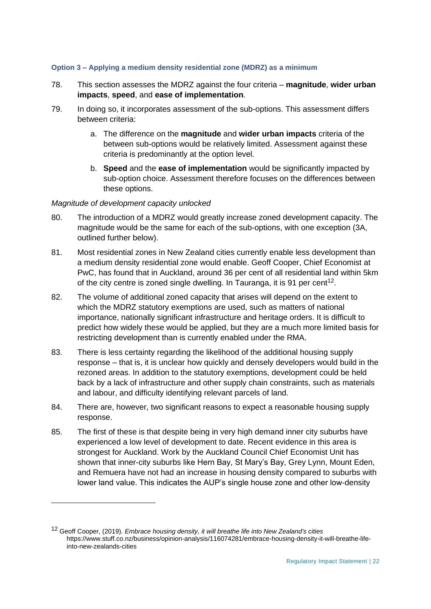#### **Option 3 – Applying a medium density residential zone (MDRZ) as a minimum**

- 78. This section assesses the MDRZ against the four criteria **magnitude**, **wider urban impacts**, **speed**, and **ease of implementation**.
- 79. In doing so, it incorporates assessment of the sub-options. This assessment differs between criteria:
	- a. The difference on the **magnitude** and **wider urban impacts** criteria of the between sub-options would be relatively limited. Assessment against these criteria is predominantly at the option level.
	- b. **Speed** and the **ease of implementation** would be significantly impacted by sub-option choice. Assessment therefore focuses on the differences between these options.

#### *Magnitude of development capacity unlocked*

- 80. The introduction of a MDRZ would greatly increase zoned development capacity. The magnitude would be the same for each of the sub-options, with one exception (3A, outlined further below).
- 81. Most residential zones in New Zealand cities currently enable less development than a medium density residential zone would enable. Geoff Cooper, Chief Economist at PwC, has found that in Auckland, around 36 per cent of all residential land within 5km of the city centre is zoned single dwelling. In Tauranga, it is 91 per cent<sup>12</sup>.
- 82. The volume of additional zoned capacity that arises will depend on the extent to which the MDRZ statutory exemptions are used, such as matters of national importance, nationally significant infrastructure and heritage orders. It is difficult to predict how widely these would be applied, but they are a much more limited basis for restricting development than is currently enabled under the RMA.
- 83. There is less certainty regarding the likelihood of the additional housing supply response – that is, it is unclear how quickly and densely developers would build in the rezoned areas. In addition to the statutory exemptions, development could be held back by a lack of infrastructure and other supply chain constraints, such as materials and labour, and difficulty identifying relevant parcels of land.
- 84. There are, however, two significant reasons to expect a reasonable housing supply response.
- 85. The first of these is that despite being in very high demand inner city suburbs have experienced a low level of development to date. Recent evidence in this area is strongest for Auckland. Work by the Auckland Council Chief Economist Unit has shown that inner-city suburbs like Hern Bay, St Mary's Bay, Grey Lynn, Mount Eden, and Remuera have not had an increase in housing density compared to suburbs with lower land value. This indicates the AUP's single house zone and other low-density

<sup>12</sup> Geoff Cooper, (2019). *Embrace housing density, it will breathe life into New Zealand's cities* https://www.stuff.co.nz/business/opinion-analysis/116074281/embrace-housing-density-it-will-breathe-lifeinto-new-zealands-cities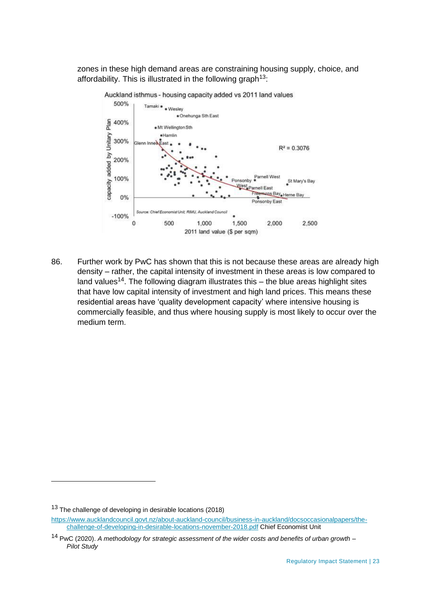zones in these high demand areas are constraining housing supply, choice, and affordability. This is illustrated in the following graph<sup>13</sup>:



Auckland isthmus - housing capacity added vs 2011 land values

86. Further work by PwC has shown that this is not because these areas are already high density – rather, the capital intensity of investment in these areas is low compared to land values<sup>14</sup>. The following diagram illustrates this  $-$  the blue areas highlight sites that have low capital intensity of investment and high land prices. This means these residential areas have 'quality development capacity' where intensive housing is commercially feasible, and thus where housing supply is most likely to occur over the medium term.

<sup>&</sup>lt;sup>13</sup> The challenge of developing in desirable locations (2018)

[https://www.aucklandcouncil.govt.nz/about-auckland-council/business-in-auckland/docsoccasionalpapers/the](https://www.aucklandcouncil.govt.nz/about-auckland-council/business-in-auckland/docsoccasionalpapers/the-challenge-of-developing-in-desirable-locations-november-2018.pdf)[challenge-of-developing-in-desirable-locations-november-2018.pdf](https://www.aucklandcouncil.govt.nz/about-auckland-council/business-in-auckland/docsoccasionalpapers/the-challenge-of-developing-in-desirable-locations-november-2018.pdf) Chief Economist Unit

<sup>14</sup> PwC (2020). *A methodology for strategic assessment of the wider costs and benefits of urban growth – Pilot Study*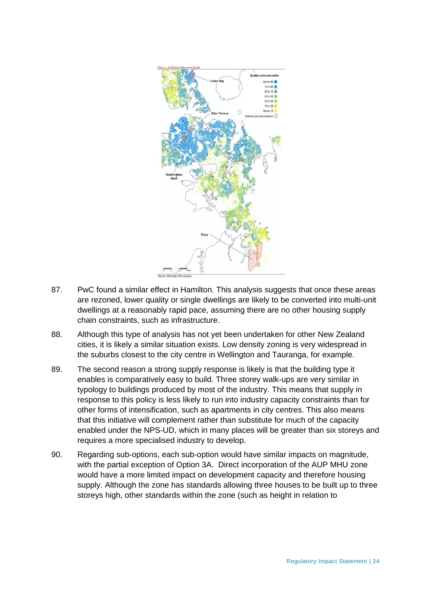

- 87. PwC found a similar effect in Hamilton. This analysis suggests that once these areas are rezoned, lower quality or single dwellings are likely to be converted into multi-unit dwellings at a reasonably rapid pace, assuming there are no other housing supply chain constraints, such as infrastructure.
- 88. Although this type of analysis has not yet been undertaken for other New Zealand cities, it is likely a similar situation exists. Low density zoning is very widespread in the suburbs closest to the city centre in Wellington and Tauranga, for example.
- 89. The second reason a strong supply response is likely is that the building type it enables is comparatively easy to build. Three storey walk-ups are very similar in typology to buildings produced by most of the industry. This means that supply in response to this policy is less likely to run into industry capacity constraints than for other forms of intensification, such as apartments in city centres. This also means that this initiative will complement rather than substitute for much of the capacity enabled under the NPS-UD, which in many places will be greater than six storeys and requires a more specialised industry to develop.
- 90. Regarding sub-options, each sub-option would have similar impacts on magnitude, with the partial exception of Option 3A. Direct incorporation of the AUP MHU zone would have a more limited impact on development capacity and therefore housing supply. Although the zone has standards allowing three houses to be built up to three storeys high, other standards within the zone (such as height in relation to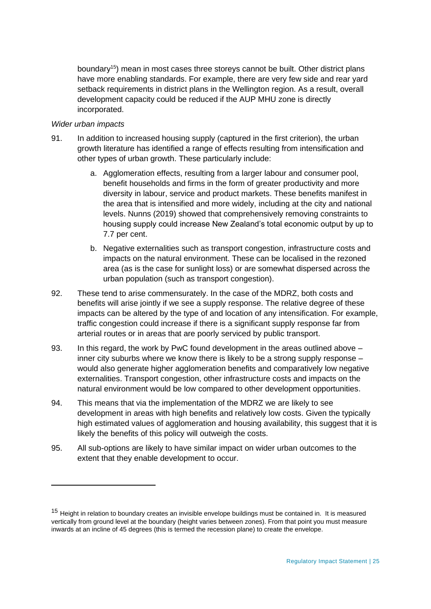boundary<sup>15</sup>) mean in most cases three storeys cannot be built. Other district plans have more enabling standards. For example, there are very few side and rear yard setback requirements in district plans in the Wellington region. As a result, overall development capacity could be reduced if the AUP MHU zone is directly incorporated.

#### *Wider urban impacts*

- 91. In addition to increased housing supply (captured in the first criterion), the urban growth literature has identified a range of effects resulting from intensification and other types of urban growth. These particularly include:
	- a. Agglomeration effects, resulting from a larger labour and consumer pool, benefit households and firms in the form of greater productivity and more diversity in labour, service and product markets. These benefits manifest in the area that is intensified and more widely, including at the city and national levels. Nunns (2019) showed that comprehensively removing constraints to housing supply could increase New Zealand's total economic output by up to 7.7 per cent.
	- b. Negative externalities such as transport congestion, infrastructure costs and impacts on the natural environment. These can be localised in the rezoned area (as is the case for sunlight loss) or are somewhat dispersed across the urban population (such as transport congestion).
- 92. These tend to arise commensurately. In the case of the MDRZ, both costs and benefits will arise jointly if we see a supply response. The relative degree of these impacts can be altered by the type of and location of any intensification. For example, traffic congestion could increase if there is a significant supply response far from arterial routes or in areas that are poorly serviced by public transport.
- 93. In this regard, the work by PwC found development in the areas outlined above inner city suburbs where we know there is likely to be a strong supply response – would also generate higher agglomeration benefits and comparatively low negative externalities. Transport congestion, other infrastructure costs and impacts on the natural environment would be low compared to other development opportunities.
- 94. This means that via the implementation of the MDRZ we are likely to see development in areas with high benefits and relatively low costs. Given the typically high estimated values of agglomeration and housing availability, this suggest that it is likely the benefits of this policy will outweigh the costs.
- 95. All sub-options are likely to have similar impact on wider urban outcomes to the extent that they enable development to occur.

<sup>&</sup>lt;sup>15</sup> Height in relation to boundary creates an invisible envelope buildings must be contained in. It is measured vertically from ground level at the boundary (height varies between zones). From that point you must measure inwards at an incline of 45 degrees (this is termed the recession plane) to create the envelope.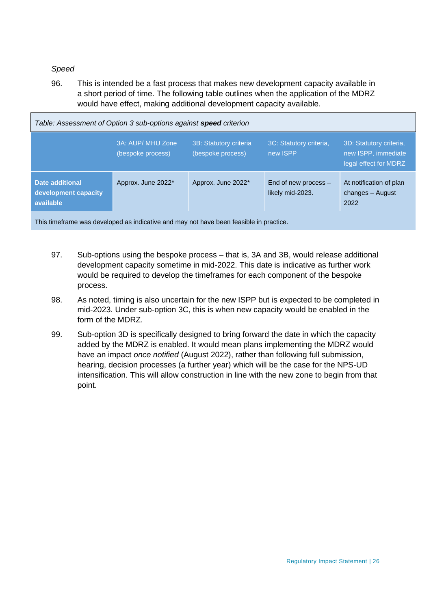### *Speed*

96. This is intended be a fast process that makes new development capacity available in a short period of time. The following table outlines when the application of the MDRZ would have effect, making additional development capacity available.

| Table: Assessment of Option 3 sub-options against <b>speed</b> criterion |                                        |                                             |                                          |                                                                         |
|--------------------------------------------------------------------------|----------------------------------------|---------------------------------------------|------------------------------------------|-------------------------------------------------------------------------|
|                                                                          | 3A: AUP/ MHU Zone<br>(bespoke process) | 3B: Statutory criteria<br>(bespoke process) | 3C: Statutory criteria,<br>new ISPP      | 3D: Statutory criteria,<br>new ISPP, immediate<br>legal effect for MDRZ |
| Date additional<br>development capacity<br>available                     | Approx. June 2022*                     | Approx. June 2022*                          | End of new process -<br>likely mid-2023. | At notification of plan<br>changes - August<br>2022                     |
|                                                                          |                                        |                                             |                                          |                                                                         |

This timeframe was developed as indicative and may not have been feasible in practice.

- 97. Sub-options using the bespoke process that is, 3A and 3B, would release additional development capacity sometime in mid-2022. This date is indicative as further work would be required to develop the timeframes for each component of the bespoke process.
- 98. As noted, timing is also uncertain for the new ISPP but is expected to be completed in mid-2023. Under sub-option 3C, this is when new capacity would be enabled in the form of the MDRZ.
- 99. Sub-option 3D is specifically designed to bring forward the date in which the capacity added by the MDRZ is enabled. It would mean plans implementing the MDRZ would have an impact *once notified* (August 2022), rather than following full submission, hearing, decision processes (a further year) which will be the case for the NPS-UD intensification. This will allow construction in line with the new zone to begin from that point.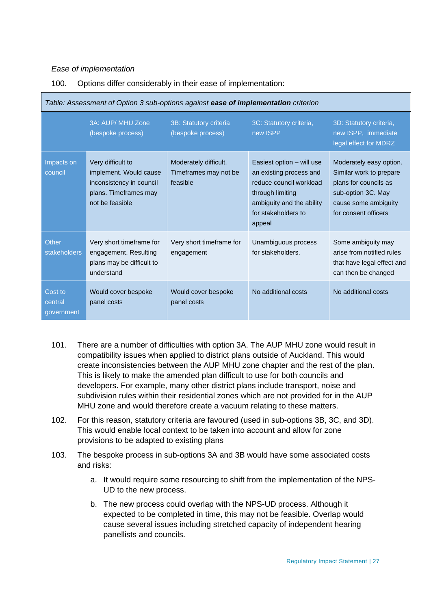#### *Ease of implementation*

#### 100. Options differ considerably in their ease of implementation:

| Table: Assessment of Option 3 sub-options against <b>ease of implementation</b> criterion |                                                                                                                     |                                                            |                                                                                                                                                                   |                                                                                                                                                   |
|-------------------------------------------------------------------------------------------|---------------------------------------------------------------------------------------------------------------------|------------------------------------------------------------|-------------------------------------------------------------------------------------------------------------------------------------------------------------------|---------------------------------------------------------------------------------------------------------------------------------------------------|
|                                                                                           | 3A: AUP/ MHU Zone<br>(bespoke process)                                                                              | 3B: Statutory criteria<br>(bespoke process)                | 3C: Statutory criteria,<br>new ISPP                                                                                                                               | 3D: Statutory criteria,<br>new ISPP, immediate<br>legal effect for MDRZ                                                                           |
| Impacts on<br>council                                                                     | Very difficult to<br>implement. Would cause<br>inconsistency in council<br>plans. Timeframes may<br>not be feasible | Moderately difficult.<br>Timeframes may not be<br>feasible | Easiest option – will use<br>an existing process and<br>reduce council workload<br>through limiting<br>ambiguity and the ability<br>for stakeholders to<br>appeal | Moderately easy option.<br>Similar work to prepare<br>plans for councils as<br>sub-option 3C. May<br>cause some ambiguity<br>for consent officers |
| Other<br>stakeholders                                                                     | Very short timeframe for<br>engagement. Resulting<br>plans may be difficult to<br>understand                        | Very short timeframe for<br>engagement                     | Unambiguous process<br>for stakeholders.                                                                                                                          | Some ambiguity may<br>arise from notified rules<br>that have legal effect and<br>can then be changed                                              |
| Cost to<br>central<br>government                                                          | Would cover bespoke<br>panel costs                                                                                  | Would cover bespoke<br>panel costs                         | No additional costs                                                                                                                                               | No additional costs                                                                                                                               |

- 101. There are a number of difficulties with option 3A. The AUP MHU zone would result in compatibility issues when applied to district plans outside of Auckland. This would create inconsistencies between the AUP MHU zone chapter and the rest of the plan. This is likely to make the amended plan difficult to use for both councils and developers. For example, many other district plans include transport, noise and subdivision rules within their residential zones which are not provided for in the AUP MHU zone and would therefore create a vacuum relating to these matters.
- 102. For this reason, statutory criteria are favoured (used in sub-options 3B, 3C, and 3D). This would enable local context to be taken into account and allow for zone provisions to be adapted to existing plans
- 103. The bespoke process in sub-options 3A and 3B would have some associated costs and risks:
	- a. It would require some resourcing to shift from the implementation of the NPS-UD to the new process.
	- b. The new process could overlap with the NPS-UD process. Although it expected to be completed in time, this may not be feasible. Overlap would cause several issues including stretched capacity of independent hearing panellists and councils.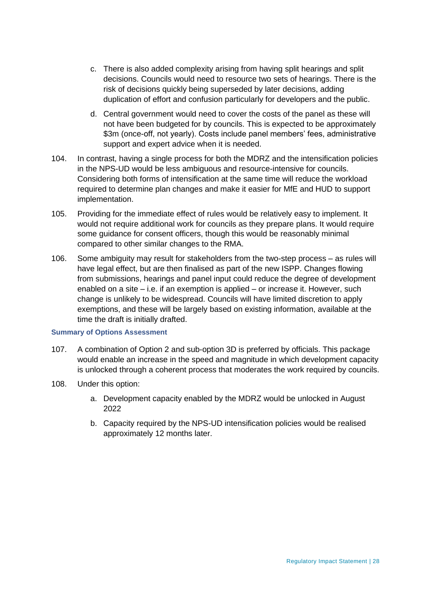- c. There is also added complexity arising from having split hearings and split decisions. Councils would need to resource two sets of hearings. There is the risk of decisions quickly being superseded by later decisions, adding duplication of effort and confusion particularly for developers and the public.
- d. Central government would need to cover the costs of the panel as these will not have been budgeted for by councils. This is expected to be approximately \$3m (once-off, not yearly). Costs include panel members' fees, administrative support and expert advice when it is needed.
- 104. In contrast, having a single process for both the MDRZ and the intensification policies in the NPS-UD would be less ambiguous and resource-intensive for councils. Considering both forms of intensification at the same time will reduce the workload required to determine plan changes and make it easier for MfE and HUD to support implementation.
- 105. Providing for the immediate effect of rules would be relatively easy to implement. It would not require additional work for councils as they prepare plans. It would require some guidance for consent officers, though this would be reasonably minimal compared to other similar changes to the RMA.
- 106. Some ambiguity may result for stakeholders from the two-step process as rules will have legal effect, but are then finalised as part of the new ISPP. Changes flowing from submissions, hearings and panel input could reduce the degree of development enabled on a site – i.e. if an exemption is applied – or increase it. However, such change is unlikely to be widespread. Councils will have limited discretion to apply exemptions, and these will be largely based on existing information, available at the time the draft is initially drafted.

#### **Summary of Options Assessment**

- 107. A combination of Option 2 and sub-option 3D is preferred by officials. This package would enable an increase in the speed and magnitude in which development capacity is unlocked through a coherent process that moderates the work required by councils.
- 108. Under this option:
	- a. Development capacity enabled by the MDRZ would be unlocked in August 2022
	- b. Capacity required by the NPS-UD intensification policies would be realised approximately 12 months later.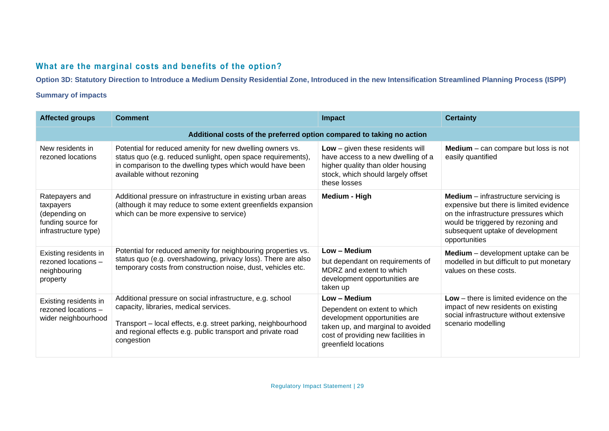# **What are the marginal costs and benefits of the option?**

**Option 3D: Statutory Direction to Introduce a Medium Density Residential Zone, Introduced in the new Intensification Streamlined Planning Process (ISPP)**

# **Summary of impacts**

| <b>Affected groups</b>                                                                     | <b>Comment</b>                                                                                                                                                                                                                                    | <b>Impact</b>                                                                                                                                                                     | <b>Certainty</b>                                                                                                                                                                                                             |  |  |
|--------------------------------------------------------------------------------------------|---------------------------------------------------------------------------------------------------------------------------------------------------------------------------------------------------------------------------------------------------|-----------------------------------------------------------------------------------------------------------------------------------------------------------------------------------|------------------------------------------------------------------------------------------------------------------------------------------------------------------------------------------------------------------------------|--|--|
| Additional costs of the preferred option compared to taking no action                      |                                                                                                                                                                                                                                                   |                                                                                                                                                                                   |                                                                                                                                                                                                                              |  |  |
| New residents in<br>rezoned locations                                                      | Potential for reduced amenity for new dwelling owners vs.<br>status quo (e.g. reduced sunlight, open space requirements),<br>in comparison to the dwelling types which would have been<br>available without rezoning                              | Low - given these residents will<br>have access to a new dwelling of a<br>higher quality than older housing<br>stock, which should largely offset<br>these losses                 | <b>Medium</b> $-$ can compare but loss is not<br>easily quantified                                                                                                                                                           |  |  |
| Ratepayers and<br>taxpayers<br>(depending on<br>funding source for<br>infrastructure type) | Additional pressure on infrastructure in existing urban areas<br>(although it may reduce to some extent greenfields expansion<br>which can be more expensive to service)                                                                          | Medium - High                                                                                                                                                                     | <b>Medium</b> $-$ infrastructure servicing is<br>expensive but there is limited evidence<br>on the infrastructure pressures which<br>would be triggered by rezoning and<br>subsequent uptake of development<br>opportunities |  |  |
| Existing residents in<br>rezoned locations -<br>neighbouring<br>property                   | Potential for reduced amenity for neighbouring properties vs.<br>status quo (e.g. overshadowing, privacy loss). There are also<br>temporary costs from construction noise, dust, vehicles etc.                                                    | Low - Medium<br>but dependant on requirements of<br>MDRZ and extent to which<br>development opportunities are<br>taken up                                                         | Medium - development uptake can be<br>modelled in but difficult to put monetary<br>values on these costs.                                                                                                                    |  |  |
| Existing residents in<br>rezoned locations -<br>wider neighbourhood                        | Additional pressure on social infrastructure, e.g. school<br>capacity, libraries, medical services.<br>Transport - local effects, e.g. street parking, neighbourhood<br>and regional effects e.g. public transport and private road<br>congestion | Low - Medium<br>Dependent on extent to which<br>development opportunities are<br>taken up, and marginal to avoided<br>cost of providing new facilities in<br>greenfield locations | Low – there is limited evidence on the<br>impact of new residents on existing<br>social infrastructure without extensive<br>scenario modelling                                                                               |  |  |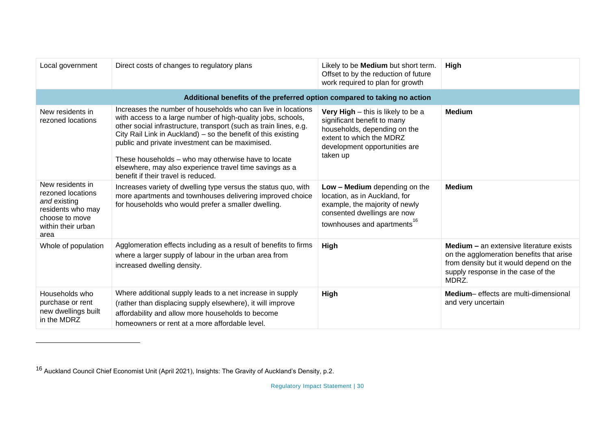| Local government                                                                                                           | Direct costs of changes to regulatory plans                                                                                                                                                                                                                                                                                                                                                                                                                                    | Likely to be <b>Medium</b> but short term.<br>Offset to by the reduction of future<br>work required to plan for growth                                                     | High                                                                                                                                                                                 |  |  |
|----------------------------------------------------------------------------------------------------------------------------|--------------------------------------------------------------------------------------------------------------------------------------------------------------------------------------------------------------------------------------------------------------------------------------------------------------------------------------------------------------------------------------------------------------------------------------------------------------------------------|----------------------------------------------------------------------------------------------------------------------------------------------------------------------------|--------------------------------------------------------------------------------------------------------------------------------------------------------------------------------------|--|--|
| Additional benefits of the preferred option compared to taking no action                                                   |                                                                                                                                                                                                                                                                                                                                                                                                                                                                                |                                                                                                                                                                            |                                                                                                                                                                                      |  |  |
| New residents in<br>rezoned locations                                                                                      | Increases the number of households who can live in locations<br>with access to a large number of high-quality jobs, schools,<br>other social infrastructure, transport (such as train lines, e.g.<br>City Rail Link in Auckland) – so the benefit of this existing<br>public and private investment can be maximised.<br>These households - who may otherwise have to locate<br>elsewhere, may also experience travel time savings as a<br>benefit if their travel is reduced. | Very High - this is likely to be a<br>significant benefit to many<br>households, depending on the<br>extent to which the MDRZ<br>development opportunities are<br>taken up | <b>Medium</b>                                                                                                                                                                        |  |  |
| New residents in<br>rezoned locations<br>and existing<br>residents who may<br>choose to move<br>within their urban<br>area | Increases variety of dwelling type versus the status quo, with<br>more apartments and townhouses delivering improved choice<br>for households who would prefer a smaller dwelling.                                                                                                                                                                                                                                                                                             | Low - Medium depending on the<br>location, as in Auckland, for<br>example, the majority of newly<br>consented dwellings are now<br>townhouses and apartments <sup>16</sup> | <b>Medium</b>                                                                                                                                                                        |  |  |
| Whole of population                                                                                                        | Agglomeration effects including as a result of benefits to firms<br>where a larger supply of labour in the urban area from<br>increased dwelling density.                                                                                                                                                                                                                                                                                                                      | High                                                                                                                                                                       | <b>Medium - an extensive literature exists</b><br>on the agglomeration benefits that arise<br>from density but it would depend on the<br>supply response in the case of the<br>MDRZ. |  |  |
| Households who<br>purchase or rent<br>new dwellings built<br>in the MDRZ                                                   | Where additional supply leads to a net increase in supply<br>(rather than displacing supply elsewhere), it will improve<br>affordability and allow more households to become<br>homeowners or rent at a more affordable level.                                                                                                                                                                                                                                                 | High                                                                                                                                                                       | Medium- effects are multi-dimensional<br>and very uncertain                                                                                                                          |  |  |

<sup>16</sup> Auckland Council Chief Economist Unit (April 2021), Insights: The Gravity of Auckland's Density, p.2.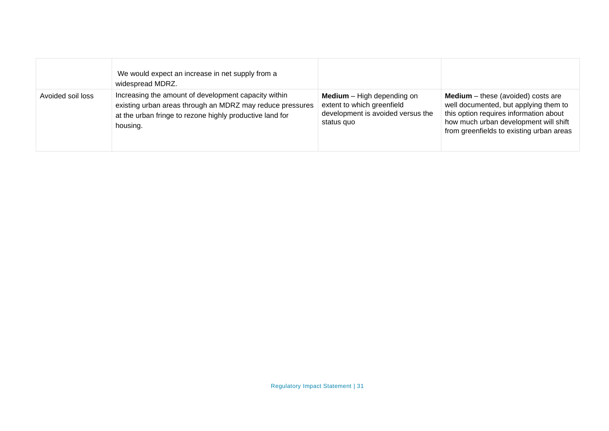|                   | We would expect an increase in net supply from a<br>widespread MDRZ.                                                                                                                      |                                                                                                                      |                                                                                                                                                                                                                   |
|-------------------|-------------------------------------------------------------------------------------------------------------------------------------------------------------------------------------------|----------------------------------------------------------------------------------------------------------------------|-------------------------------------------------------------------------------------------------------------------------------------------------------------------------------------------------------------------|
| Avoided soil loss | Increasing the amount of development capacity within<br>existing urban areas through an MDRZ may reduce pressures<br>at the urban fringe to rezone highly productive land for<br>housing. | <b>Medium</b> $-$ High depending on<br>extent to which greenfield<br>development is avoided versus the<br>status quo | <b>Medium</b> – these (avoided) costs are<br>well documented, but applying them to<br>this option requires information about<br>how much urban development will shift<br>from greenfields to existing urban areas |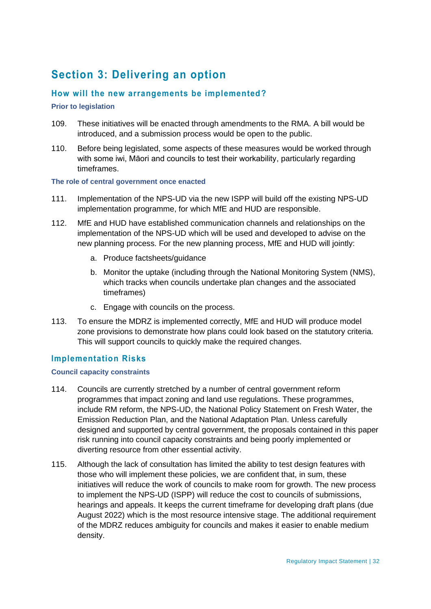# **Section 3: Delivering an option**

# **How will the new arrangements be implemented?**

#### **Prior to legislation**

- 109. These initiatives will be enacted through amendments to the RMA. A bill would be introduced, and a submission process would be open to the public.
- 110. Before being legislated, some aspects of these measures would be worked through with some iwi, Māori and councils to test their workability, particularly regarding timeframes.

#### **The role of central government once enacted**

- 111. Implementation of the NPS-UD via the new ISPP will build off the existing NPS-UD implementation programme, for which MfE and HUD are responsible.
- 112. MfE and HUD have established communication channels and relationships on the implementation of the NPS-UD which will be used and developed to advise on the new planning process. For the new planning process, MfE and HUD will jointly:
	- a. Produce factsheets/guidance
	- b. Monitor the uptake (including through the National Monitoring System (NMS), which tracks when councils undertake plan changes and the associated timeframes)
	- c. Engage with councils on the process.
- 113. To ensure the MDRZ is implemented correctly, MfE and HUD will produce model zone provisions to demonstrate how plans could look based on the statutory criteria. This will support councils to quickly make the required changes.

# **Implementation Risks**

#### **Council capacity constraints**

- 114. Councils are currently stretched by a number of central government reform programmes that impact zoning and land use regulations. These programmes, include RM reform, the NPS-UD, the National Policy Statement on Fresh Water, the Emission Reduction Plan, and the National Adaptation Plan. Unless carefully designed and supported by central government, the proposals contained in this paper risk running into council capacity constraints and being poorly implemented or diverting resource from other essential activity.
- 115. Although the lack of consultation has limited the ability to test design features with those who will implement these policies, we are confident that, in sum, these initiatives will reduce the work of councils to make room for growth. The new process to implement the NPS-UD (ISPP) will reduce the cost to councils of submissions, hearings and appeals. It keeps the current timeframe for developing draft plans (due August 2022) which is the most resource intensive stage. The additional requirement of the MDRZ reduces ambiguity for councils and makes it easier to enable medium density.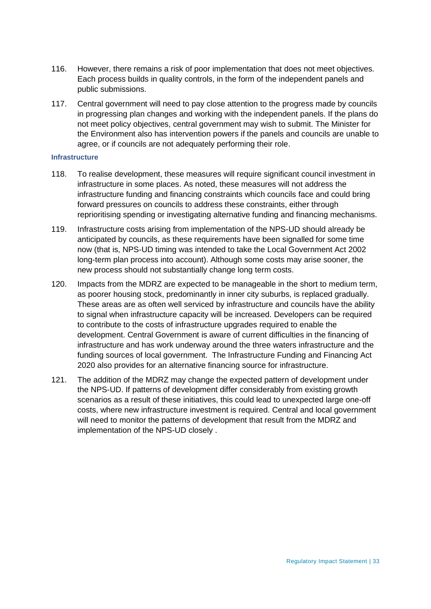- 116. However, there remains a risk of poor implementation that does not meet objectives. Each process builds in quality controls, in the form of the independent panels and public submissions.
- 117. Central government will need to pay close attention to the progress made by councils in progressing plan changes and working with the independent panels. If the plans do not meet policy objectives, central government may wish to submit. The Minister for the Environment also has intervention powers if the panels and councils are unable to agree, or if councils are not adequately performing their role.

#### **Infrastructure**

- 118. To realise development, these measures will require significant council investment in infrastructure in some places. As noted, these measures will not address the infrastructure funding and financing constraints which councils face and could bring forward pressures on councils to address these constraints, either through reprioritising spending or investigating alternative funding and financing mechanisms.
- 119. Infrastructure costs arising from implementation of the NPS-UD should already be anticipated by councils, as these requirements have been signalled for some time now (that is, NPS-UD timing was intended to take the Local Government Act 2002 long-term plan process into account). Although some costs may arise sooner, the new process should not substantially change long term costs.
- 120. Impacts from the MDRZ are expected to be manageable in the short to medium term, as poorer housing stock, predominantly in inner city suburbs, is replaced gradually. These areas are as often well serviced by infrastructure and councils have the ability to signal when infrastructure capacity will be increased. Developers can be required to contribute to the costs of infrastructure upgrades required to enable the development. Central Government is aware of current difficulties in the financing of infrastructure and has work underway around the three waters infrastructure and the funding sources of local government. The Infrastructure Funding and Financing Act 2020 also provides for an alternative financing source for infrastructure.
- 121. The addition of the MDRZ may change the expected pattern of development under the NPS-UD. If patterns of development differ considerably from existing growth scenarios as a result of these initiatives, this could lead to unexpected large one-off costs, where new infrastructure investment is required. Central and local government will need to monitor the patterns of development that result from the MDRZ and implementation of the NPS-UD closely .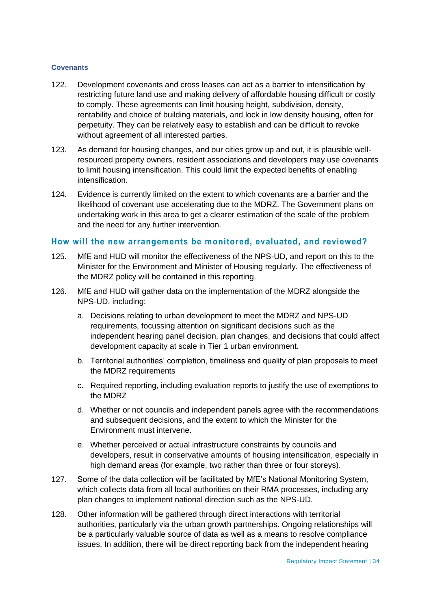#### **Covenants**

- 122. Development covenants and cross leases can act as a barrier to intensification by restricting future land use and making delivery of affordable housing difficult or costly to comply. These agreements can limit housing height, subdivision, density, rentability and choice of building materials, and lock in low density housing, often for perpetuity. They can be relatively easy to establish and can be difficult to revoke without agreement of all interested parties.
- 123. As demand for housing changes, and our cities grow up and out, it is plausible wellresourced property owners, resident associations and developers may use covenants to limit housing intensification. This could limit the expected benefits of enabling intensification.
- 124. Evidence is currently limited on the extent to which covenants are a barrier and the likelihood of covenant use accelerating due to the MDRZ. The Government plans on undertaking work in this area to get a clearer estimation of the scale of the problem and the need for any further intervention.

#### **How will the new arrangements be monitored, evaluated, and reviewed?**

- 125. MfE and HUD will monitor the effectiveness of the NPS-UD, and report on this to the Minister for the Environment and Minister of Housing regularly. The effectiveness of the MDRZ policy will be contained in this reporting.
- 126. MfE and HUD will gather data on the implementation of the MDRZ alongside the NPS-UD, including:
	- a. Decisions relating to urban development to meet the MDRZ and NPS-UD requirements, focussing attention on significant decisions such as the independent hearing panel decision, plan changes, and decisions that could affect development capacity at scale in Tier 1 urban environment.
	- b. Territorial authorities' completion, timeliness and quality of plan proposals to meet the MDRZ requirements
	- c. Required reporting, including evaluation reports to justify the use of exemptions to the MDRZ
	- d. Whether or not councils and independent panels agree with the recommendations and subsequent decisions, and the extent to which the Minister for the Environment must intervene.
	- e. Whether perceived or actual infrastructure constraints by councils and developers, result in conservative amounts of housing intensification, especially in high demand areas (for example, two rather than three or four storeys).
- 127. Some of the data collection will be facilitated by MfE's National Monitoring System, which collects data from all local authorities on their RMA processes, including any plan changes to implement national direction such as the NPS-UD.
- 128. Other information will be gathered through direct interactions with territorial authorities, particularly via the urban growth partnerships. Ongoing relationships will be a particularly valuable source of data as well as a means to resolve compliance issues. In addition, there will be direct reporting back from the independent hearing